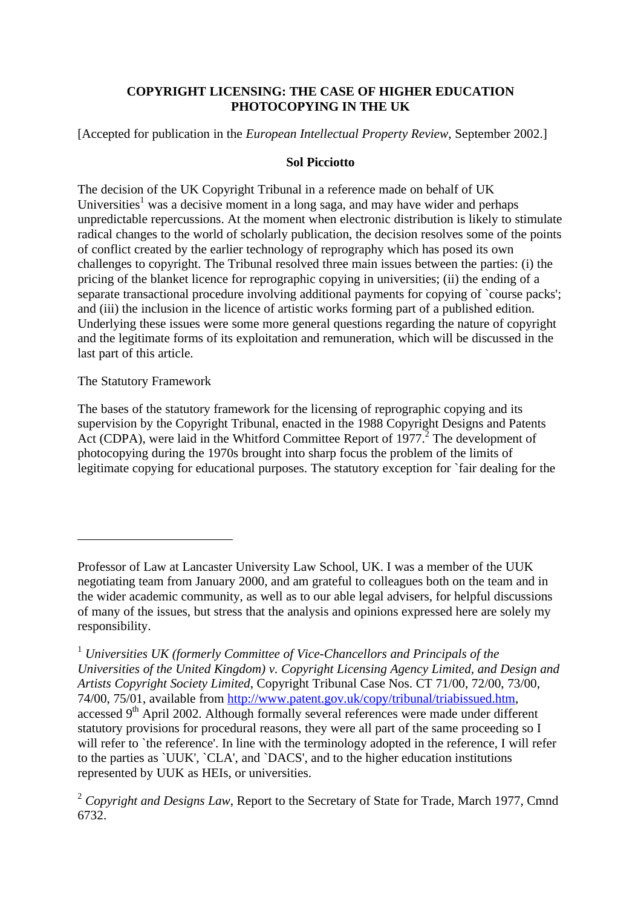# **COPYRIGHT LICENSING: THE CASE OF HIGHER EDUCATION PHOTOCOPYING IN THE UK**

[Accepted for publication in the *European Intellectual Property Review*, September 2002.]

#### **Sol Picciotto**

The decision of the UK Copyright Tribunal in a reference made on behalf of UK Universities<sup>1</sup> was a decisive moment in a long saga, and may have wider and perhaps unpredictable repercussions. At the moment when electronic distribution is likely to stimulate radical changes to the world of scholarly publication, the decision resolves some of the points of conflict created by the earlier technology of reprography which has posed its own challenges to copyright. The Tribunal resolved three main issues between the parties: (i) the pricing of the blanket licence for reprographic copying in universities; (ii) the ending of a separate transactional procedure involving additional payments for copying of `course packs'; and (iii) the inclusion in the licence of artistic works forming part of a published edition. Underlying these issues were some more general questions regarding the nature of copyright and the legitimate forms of its exploitation and remuneration, which will be discussed in the last part of this article.

#### The Statutory Framework

 $\overline{a}$ 

The bases of the statutory framework for the licensing of reprographic copying and its supervision by the Copyright Tribunal, enacted in the 1988 Copyright Designs and Patents Act (CDPA), were laid in the Whitford Committee Report of 1977.<sup>2</sup> The development of photocopying during the 1970s brought into sharp focus the problem of the limits of legitimate copying for educational purposes. The statutory exception for `fair dealing for the

Professor of Law at Lancaster University Law School, UK. I was a member of the UUK negotiating team from January 2000, and am grateful to colleagues both on the team and in the wider academic community, as well as to our able legal advisers, for helpful discussions of many of the issues, but stress that the analysis and opinions expressed here are solely my responsibility.

<sup>1</sup> *Universities UK (formerly Committee of Vice-Chancellors and Principals of the Universities of the United Kingdom) v. Copyright Licensing Agency Limited, and Design and Artists Copyright Society Limited*, Copyright Tribunal Case Nos. CT 71/00, 72/00, 73/00, 74/00, 75/01, available from http://www.patent.gov.uk/copy/tribunal/triabissued.htm, accessed 9<sup>th</sup> April 2002. Although formally several references were made under different statutory provisions for procedural reasons, they were all part of the same proceeding so I will refer to `the reference'. In line with the terminology adopted in the reference, I will refer to the parties as `UUK', `CLA', and `DACS', and to the higher education institutions represented by UUK as HEIs, or universities.

<sup>&</sup>lt;sup>2</sup> Copyright and Designs Law, Report to the Secretary of State for Trade, March 1977, Cmnd 6732.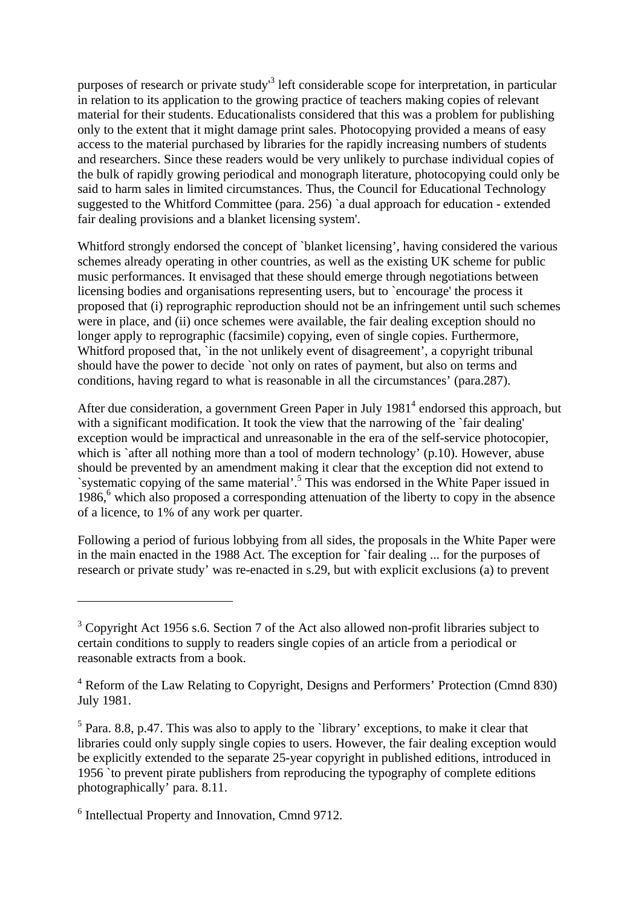purposes of research or private study<sup>3</sup> left considerable scope for interpretation, in particular in relation to its application to the growing practice of teachers making copies of relevant material for their students. Educationalists considered that this was a problem for publishing only to the extent that it might damage print sales. Photocopying provided a means of easy access to the material purchased by libraries for the rapidly increasing numbers of students and researchers. Since these readers would be very unlikely to purchase individual copies of the bulk of rapidly growing periodical and monograph literature, photocopying could only be said to harm sales in limited circumstances. Thus, the Council for Educational Technology suggested to the Whitford Committee (para. 256) `a dual approach for education - extended fair dealing provisions and a blanket licensing system'.

Whitford strongly endorsed the concept of `blanket licensing', having considered the various schemes already operating in other countries, as well as the existing UK scheme for public music performances. It envisaged that these should emerge through negotiations between licensing bodies and organisations representing users, but to `encourage' the process it proposed that (i) reprographic reproduction should not be an infringement until such schemes were in place, and (ii) once schemes were available, the fair dealing exception should no longer apply to reprographic (facsimile) copying, even of single copies. Furthermore, Whitford proposed that, `in the not unlikely event of disagreement', a copyright tribunal should have the power to decide `not only on rates of payment, but also on terms and conditions, having regard to what is reasonable in all the circumstances' (para.287).

After due consideration, a government Green Paper in July 1981<sup>4</sup> endorsed this approach, but with a significant modification. It took the view that the narrowing of the 'fair dealing' exception would be impractical and unreasonable in the era of the self-service photocopier, which is 'after all nothing more than a tool of modern technology' (p.10). However, abuse should be prevented by an amendment making it clear that the exception did not extend to `systematic copying of the same material'.<sup>5</sup> This was endorsed in the White Paper issued in 1986,<sup>6</sup> which also proposed a corresponding attenuation of the liberty to copy in the absence of a licence, to 1% of any work per quarter.

Following a period of furious lobbying from all sides, the proposals in the White Paper were in the main enacted in the 1988 Act. The exception for `fair dealing ... for the purposes of research or private study' was re-enacted in s.29, but with explicit exclusions (a) to prevent

 $3$  Copyright Act 1956 s.6. Section 7 of the Act also allowed non-profit libraries subject to certain conditions to supply to readers single copies of an article from a periodical or reasonable extracts from a book.

<sup>&</sup>lt;sup>4</sup> Reform of the Law Relating to Copyright, Designs and Performers' Protection (Cmnd 830) July 1981.

 $<sup>5</sup>$  Para. 8.8, p.47. This was also to apply to the `library' exceptions, to make it clear that</sup> libraries could only supply single copies to users. However, the fair dealing exception would be explicitly extended to the separate 25-year copyright in published editions, introduced in 1956 `to prevent pirate publishers from reproducing the typography of complete editions photographically' para. 8.11.

<sup>&</sup>lt;sup>6</sup> Intellectual Property and Innovation, Cmnd 9712.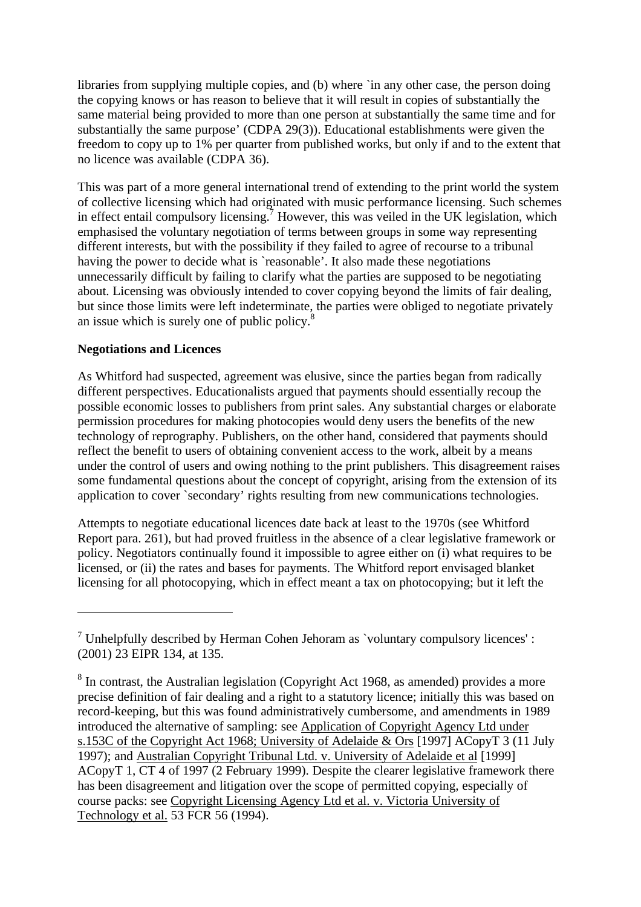libraries from supplying multiple copies, and (b) where `in any other case, the person doing the copying knows or has reason to believe that it will result in copies of substantially the same material being provided to more than one person at substantially the same time and for substantially the same purpose' (CDPA 29(3)). Educational establishments were given the freedom to copy up to 1% per quarter from published works, but only if and to the extent that no licence was available (CDPA 36).

This was part of a more general international trend of extending to the print world the system of collective licensing which had originated with music performance licensing. Such schemes in effect entail compulsory licensing.<sup>7</sup> However, this was veiled in the UK legislation, which emphasised the voluntary negotiation of terms between groups in some way representing different interests, but with the possibility if they failed to agree of recourse to a tribunal having the power to decide what is `reasonable'. It also made these negotiations unnecessarily difficult by failing to clarify what the parties are supposed to be negotiating about. Licensing was obviously intended to cover copying beyond the limits of fair dealing, but since those limits were left indeterminate, the parties were obliged to negotiate privately an issue which is surely one of public policy.<sup>8</sup>

### **Negotiations and Licences**

 $\overline{a}$ 

As Whitford had suspected, agreement was elusive, since the parties began from radically different perspectives. Educationalists argued that payments should essentially recoup the possible economic losses to publishers from print sales. Any substantial charges or elaborate permission procedures for making photocopies would deny users the benefits of the new technology of reprography. Publishers, on the other hand, considered that payments should reflect the benefit to users of obtaining convenient access to the work, albeit by a means under the control of users and owing nothing to the print publishers. This disagreement raises some fundamental questions about the concept of copyright, arising from the extension of its application to cover `secondary' rights resulting from new communications technologies.

Attempts to negotiate educational licences date back at least to the 1970s (see Whitford Report para. 261), but had proved fruitless in the absence of a clear legislative framework or policy. Negotiators continually found it impossible to agree either on (i) what requires to be licensed, or (ii) the rates and bases for payments. The Whitford report envisaged blanket licensing for all photocopying, which in effect meant a tax on photocopying; but it left the

 $<sup>7</sup>$  Unhelpfully described by Herman Cohen Jehoram as `voluntary compulsory licences':</sup> (2001) 23 EIPR 134, at 135.

<sup>&</sup>lt;sup>8</sup> In contrast, the Australian legislation (Copyright Act 1968, as amended) provides a more precise definition of fair dealing and a right to a statutory licence; initially this was based on record-keeping, but this was found administratively cumbersome, and amendments in 1989 introduced the alternative of sampling: see Application of Copyright Agency Ltd under s.153C of the Copyright Act 1968; University of Adelaide & Ors [1997] ACopyT 3 (11 July 1997); and Australian Copyright Tribunal Ltd. v. University of Adelaide et al [1999] ACopyT 1, CT 4 of 1997 (2 February 1999). Despite the clearer legislative framework there has been disagreement and litigation over the scope of permitted copying, especially of course packs: see Copyright Licensing Agency Ltd et al. v. Victoria University of Technology et al. 53 FCR 56 (1994).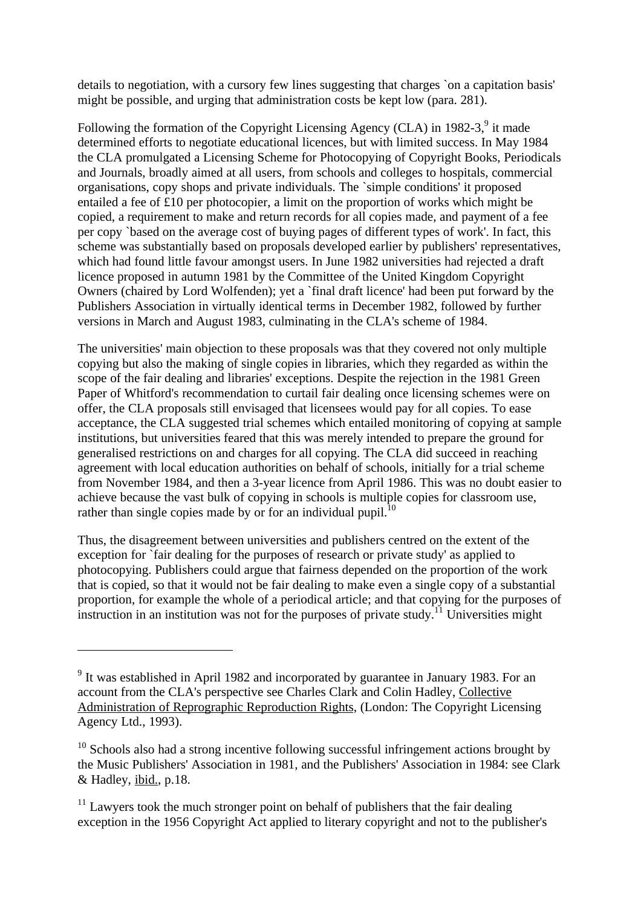details to negotiation, with a cursory few lines suggesting that charges `on a capitation basis' might be possible, and urging that administration costs be kept low (para. 281).

Following the formation of the Copyright Licensing Agency (CLA) in 1982-3, $9$  it made determined efforts to negotiate educational licences, but with limited success. In May 1984 the CLA promulgated a Licensing Scheme for Photocopying of Copyright Books, Periodicals and Journals, broadly aimed at all users, from schools and colleges to hospitals, commercial organisations, copy shops and private individuals. The `simple conditions' it proposed entailed a fee of £10 per photocopier, a limit on the proportion of works which might be copied, a requirement to make and return records for all copies made, and payment of a fee per copy `based on the average cost of buying pages of different types of work'. In fact, this scheme was substantially based on proposals developed earlier by publishers' representatives, which had found little favour amongst users. In June 1982 universities had rejected a draft licence proposed in autumn 1981 by the Committee of the United Kingdom Copyright Owners (chaired by Lord Wolfenden); yet a `final draft licence' had been put forward by the Publishers Association in virtually identical terms in December 1982, followed by further versions in March and August 1983, culminating in the CLA's scheme of 1984.

The universities' main objection to these proposals was that they covered not only multiple copying but also the making of single copies in libraries, which they regarded as within the scope of the fair dealing and libraries' exceptions. Despite the rejection in the 1981 Green Paper of Whitford's recommendation to curtail fair dealing once licensing schemes were on offer, the CLA proposals still envisaged that licensees would pay for all copies. To ease acceptance, the CLA suggested trial schemes which entailed monitoring of copying at sample institutions, but universities feared that this was merely intended to prepare the ground for generalised restrictions on and charges for all copying. The CLA did succeed in reaching agreement with local education authorities on behalf of schools, initially for a trial scheme from November 1984, and then a 3-year licence from April 1986. This was no doubt easier to achieve because the vast bulk of copying in schools is multiple copies for classroom use, rather than single copies made by or for an individual pupil.<sup>10</sup>

Thus, the disagreement between universities and publishers centred on the extent of the exception for `fair dealing for the purposes of research or private study' as applied to photocopying. Publishers could argue that fairness depended on the proportion of the work that is copied, so that it would not be fair dealing to make even a single copy of a substantial proportion, for example the whole of a periodical article; and that copying for the purposes of  $\frac{1}{11}$  instruction in an institution was not for the purposes of private study.<sup>11</sup> Universities might

<sup>&</sup>lt;sup>9</sup> It was established in April 1982 and incorporated by guarantee in January 1983. For an account from the CLA's perspective see Charles Clark and Colin Hadley, Collective Administration of Reprographic Reproduction Rights, (London: The Copyright Licensing Agency Ltd., 1993).

 $10$  Schools also had a strong incentive following successful infringement actions brought by the Music Publishers' Association in 1981, and the Publishers' Association in 1984: see Clark & Hadley, ibid., p.18.

 $11$  Lawyers took the much stronger point on behalf of publishers that the fair dealing exception in the 1956 Copyright Act applied to literary copyright and not to the publisher's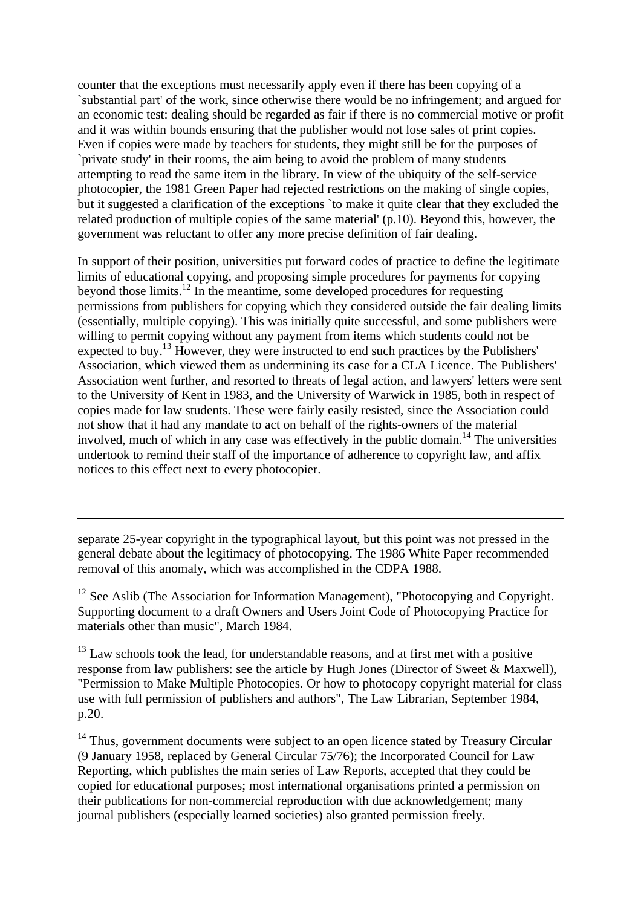counter that the exceptions must necessarily apply even if there has been copying of a `substantial part' of the work, since otherwise there would be no infringement; and argued for an economic test: dealing should be regarded as fair if there is no commercial motive or profit and it was within bounds ensuring that the publisher would not lose sales of print copies. Even if copies were made by teachers for students, they might still be for the purposes of `private study' in their rooms, the aim being to avoid the problem of many students attempting to read the same item in the library. In view of the ubiquity of the self-service photocopier, the 1981 Green Paper had rejected restrictions on the making of single copies, but it suggested a clarification of the exceptions `to make it quite clear that they excluded the related production of multiple copies of the same material' (p.10). Beyond this, however, the government was reluctant to offer any more precise definition of fair dealing.

In support of their position, universities put forward codes of practice to define the legitimate limits of educational copying, and proposing simple procedures for payments for copying beyond those limits.<sup>12</sup> In the meantime, some developed procedures for requesting permissions from publishers for copying which they considered outside the fair dealing limits (essentially, multiple copying). This was initially quite successful, and some publishers were willing to permit copying without any payment from items which students could not be expected to buy.<sup>13</sup> However, they were instructed to end such practices by the Publishers' Association, which viewed them as undermining its case for a CLA Licence. The Publishers' Association went further, and resorted to threats of legal action, and lawyers' letters were sent to the University of Kent in 1983, and the University of Warwick in 1985, both in respect of copies made for law students. These were fairly easily resisted, since the Association could not show that it had any mandate to act on behalf of the rights-owners of the material involved, much of which in any case was effectively in the public domain.<sup>14</sup> The universities undertook to remind their staff of the importance of adherence to copyright law, and affix notices to this effect next to every photocopier.

separate 25-year copyright in the typographical layout, but this point was not pressed in the general debate about the legitimacy of photocopying. The 1986 White Paper recommended removal of this anomaly, which was accomplished in the CDPA 1988.

 $\overline{a}$ 

 $12$  See Aslib (The Association for Information Management), "Photocopying and Copyright. Supporting document to a draft Owners and Users Joint Code of Photocopying Practice for materials other than music", March 1984.

 $13$  Law schools took the lead, for understandable reasons, and at first met with a positive response from law publishers: see the article by Hugh Jones (Director of Sweet & Maxwell), "Permission to Make Multiple Photocopies. Or how to photocopy copyright material for class use with full permission of publishers and authors", The Law Librarian, September 1984, p.20.

<sup>14</sup> Thus, government documents were subject to an open licence stated by Treasury Circular (9 January 1958, replaced by General Circular 75/76); the Incorporated Council for Law Reporting, which publishes the main series of Law Reports, accepted that they could be copied for educational purposes; most international organisations printed a permission on their publications for non-commercial reproduction with due acknowledgement; many journal publishers (especially learned societies) also granted permission freely.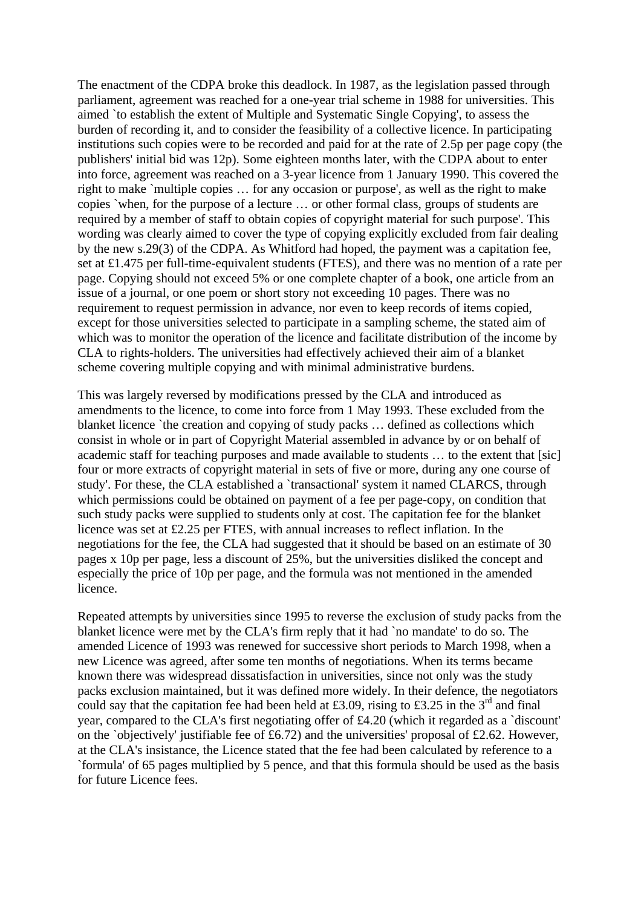The enactment of the CDPA broke this deadlock. In 1987, as the legislation passed through parliament, agreement was reached for a one-year trial scheme in 1988 for universities. This aimed `to establish the extent of Multiple and Systematic Single Copying', to assess the burden of recording it, and to consider the feasibility of a collective licence. In participating institutions such copies were to be recorded and paid for at the rate of 2.5p per page copy (the publishers' initial bid was 12p). Some eighteen months later, with the CDPA about to enter into force, agreement was reached on a 3-year licence from 1 January 1990. This covered the right to make `multiple copies … for any occasion or purpose', as well as the right to make copies `when, for the purpose of a lecture … or other formal class, groups of students are required by a member of staff to obtain copies of copyright material for such purpose'. This wording was clearly aimed to cover the type of copying explicitly excluded from fair dealing by the new s.29(3) of the CDPA. As Whitford had hoped, the payment was a capitation fee, set at £1.475 per full-time-equivalent students (FTES), and there was no mention of a rate per page. Copying should not exceed 5% or one complete chapter of a book, one article from an issue of a journal, or one poem or short story not exceeding 10 pages. There was no requirement to request permission in advance, nor even to keep records of items copied, except for those universities selected to participate in a sampling scheme, the stated aim of which was to monitor the operation of the licence and facilitate distribution of the income by CLA to rights-holders. The universities had effectively achieved their aim of a blanket scheme covering multiple copying and with minimal administrative burdens.

This was largely reversed by modifications pressed by the CLA and introduced as amendments to the licence, to come into force from 1 May 1993. These excluded from the blanket licence `the creation and copying of study packs ... defined as collections which consist in whole or in part of Copyright Material assembled in advance by or on behalf of academic staff for teaching purposes and made available to students ... to the extent that [sic] four or more extracts of copyright material in sets of five or more, during any one course of study'. For these, the CLA established a `transactional' system it named CLARCS, through which permissions could be obtained on payment of a fee per page-copy, on condition that such study packs were supplied to students only at cost. The capitation fee for the blanket licence was set at £2.25 per FTES, with annual increases to reflect inflation. In the negotiations for the fee, the CLA had suggested that it should be based on an estimate of 30 pages x 10p per page, less a discount of 25%, but the universities disliked the concept and especially the price of 10p per page, and the formula was not mentioned in the amended licence.

Repeated attempts by universities since 1995 to reverse the exclusion of study packs from the blanket licence were met by the CLA's firm reply that it had `no mandate' to do so. The amended Licence of 1993 was renewed for successive short periods to March 1998, when a new Licence was agreed, after some ten months of negotiations. When its terms became known there was widespread dissatisfaction in universities, since not only was the study packs exclusion maintained, but it was defined more widely. In their defence, the negotiators could say that the capitation fee had been held at £3.09, rising to £3.25 in the 3<sup>rd</sup> and final year, compared to the CLA's first negotiating offer of £4.20 (which it regarded as a `discount' on the `objectively' justifiable fee of £6.72) and the universities' proposal of £2.62. However, at the CLA's insistance, the Licence stated that the fee had been calculated by reference to a `formula' of 65 pages multiplied by 5 pence, and that this formula should be used as the basis for future Licence fees.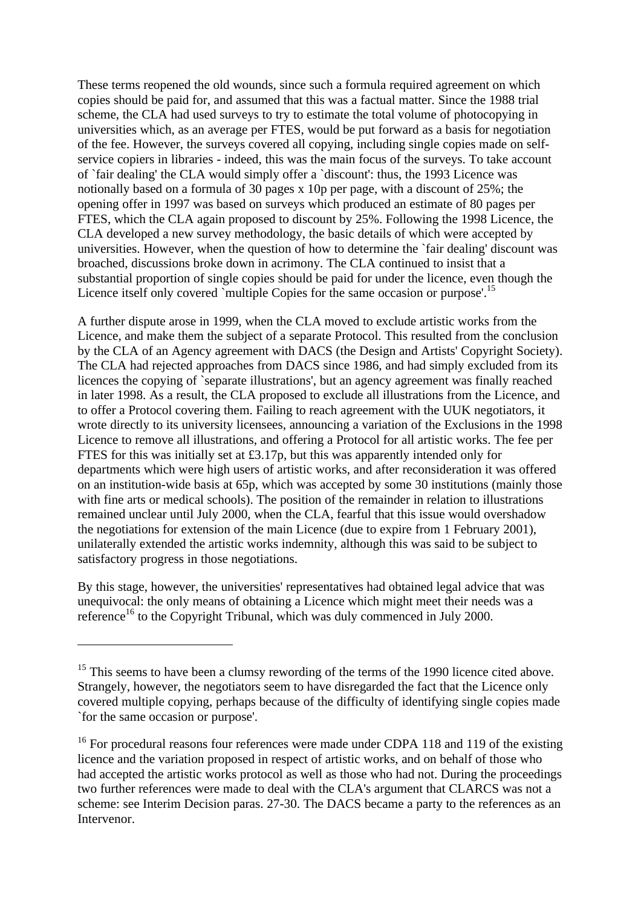These terms reopened the old wounds, since such a formula required agreement on which copies should be paid for, and assumed that this was a factual matter. Since the 1988 trial scheme, the CLA had used surveys to try to estimate the total volume of photocopying in universities which, as an average per FTES, would be put forward as a basis for negotiation of the fee. However, the surveys covered all copying, including single copies made on selfservice copiers in libraries - indeed, this was the main focus of the surveys. To take account of `fair dealing' the CLA would simply offer a `discount': thus, the 1993 Licence was notionally based on a formula of 30 pages x 10p per page, with a discount of 25%; the opening offer in 1997 was based on surveys which produced an estimate of 80 pages per FTES, which the CLA again proposed to discount by 25%. Following the 1998 Licence, the CLA developed a new survey methodology, the basic details of which were accepted by universities. However, when the question of how to determine the `fair dealing' discount was broached, discussions broke down in acrimony. The CLA continued to insist that a substantial proportion of single copies should be paid for under the licence, even though the Licence itself only covered `multiple Copies for the same occasion or purpose'.<sup>15</sup>

A further dispute arose in 1999, when the CLA moved to exclude artistic works from the Licence, and make them the subject of a separate Protocol. This resulted from the conclusion by the CLA of an Agency agreement with DACS (the Design and Artists' Copyright Society). The CLA had rejected approaches from DACS since 1986, and had simply excluded from its licences the copying of `separate illustrations', but an agency agreement was finally reached in later 1998. As a result, the CLA proposed to exclude all illustrations from the Licence, and to offer a Protocol covering them. Failing to reach agreement with the UUK negotiators, it wrote directly to its university licensees, announcing a variation of the Exclusions in the 1998 Licence to remove all illustrations, and offering a Protocol for all artistic works. The fee per FTES for this was initially set at £3.17p, but this was apparently intended only for departments which were high users of artistic works, and after reconsideration it was offered on an institution-wide basis at 65p, which was accepted by some 30 institutions (mainly those with fine arts or medical schools). The position of the remainder in relation to illustrations remained unclear until July 2000, when the CLA, fearful that this issue would overshadow the negotiations for extension of the main Licence (due to expire from 1 February 2001), unilaterally extended the artistic works indemnity, although this was said to be subject to satisfactory progress in those negotiations.

By this stage, however, the universities' representatives had obtained legal advice that was unequivocal: the only means of obtaining a Licence which might meet their needs was a reference<sup>16</sup> to the Copyright Tribunal, which was duly commenced in July 2000.

<sup>&</sup>lt;sup>15</sup> This seems to have been a clumsy rewording of the terms of the 1990 licence cited above. Strangely, however, the negotiators seem to have disregarded the fact that the Licence only covered multiple copying, perhaps because of the difficulty of identifying single copies made `for the same occasion or purpose'.

<sup>&</sup>lt;sup>16</sup> For procedural reasons four references were made under CDPA 118 and 119 of the existing licence and the variation proposed in respect of artistic works, and on behalf of those who had accepted the artistic works protocol as well as those who had not. During the proceedings two further references were made to deal with the CLA's argument that CLARCS was not a scheme: see Interim Decision paras. 27-30. The DACS became a party to the references as an Intervenor.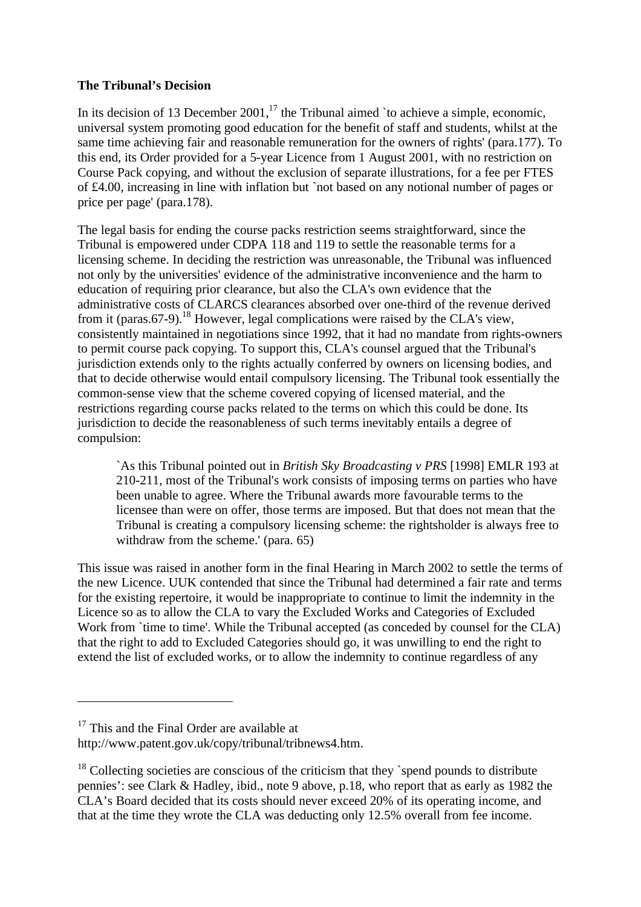### **The Tribunal's Decision**

In its decision of 13 December 2001,<sup>17</sup> the Tribunal aimed `to achieve a simple, economic, universal system promoting good education for the benefit of staff and students, whilst at the same time achieving fair and reasonable remuneration for the owners of rights' (para.177). To this end, its Order provided for a 5-year Licence from 1 August 2001, with no restriction on Course Pack copying, and without the exclusion of separate illustrations, for a fee per FTES of £4.00, increasing in line with inflation but `not based on any notional number of pages or price per page' (para.178).

The legal basis for ending the course packs restriction seems straightforward, since the Tribunal is empowered under CDPA 118 and 119 to settle the reasonable terms for a licensing scheme. In deciding the restriction was unreasonable, the Tribunal was influenced not only by the universities' evidence of the administrative inconvenience and the harm to education of requiring prior clearance, but also the CLA's own evidence that the administrative costs of CLARCS clearances absorbed over one-third of the revenue derived from it (paras.67-9).<sup>18</sup> However, legal complications were raised by the CLA's view, consistently maintained in negotiations since 1992, that it had no mandate from rights-owners to permit course pack copying. To support this, CLA's counsel argued that the Tribunal's jurisdiction extends only to the rights actually conferred by owners on licensing bodies, and that to decide otherwise would entail compulsory licensing. The Tribunal took essentially the common-sense view that the scheme covered copying of licensed material, and the restrictions regarding course packs related to the terms on which this could be done. Its jurisdiction to decide the reasonableness of such terms inevitably entails a degree of compulsion:

`As this Tribunal pointed out in *British Sky Broadcasting v PRS* [1998] EMLR 193 at 210-211, most of the Tribunal's work consists of imposing terms on parties who have been unable to agree. Where the Tribunal awards more favourable terms to the licensee than were on offer, those terms are imposed. But that does not mean that the Tribunal is creating a compulsory licensing scheme: the rightsholder is always free to withdraw from the scheme.' (para. 65)

This issue was raised in another form in the final Hearing in March 2002 to settle the terms of the new Licence. UUK contended that since the Tribunal had determined a fair rate and terms for the existing repertoire, it would be inappropriate to continue to limit the indemnity in the Licence so as to allow the CLA to vary the Excluded Works and Categories of Excluded Work from `time to time'. While the Tribunal accepted (as conceded by counsel for the CLA) that the right to add to Excluded Categories should go, it was unwilling to end the right to extend the list of excluded works, or to allow the indemnity to continue regardless of any

 $17$  This and the Final Order are available at

http://www.patent.gov.uk/copy/tribunal/tribnews4.htm.

 $18$  Collecting societies are conscious of the criticism that they `spend pounds to distribute pennies': see Clark & Hadley, ibid., note 9 above, p.18, who report that as early as 1982 the CLA's Board decided that its costs should never exceed 20% of its operating income, and that at the time they wrote the CLA was deducting only 12.5% overall from fee income.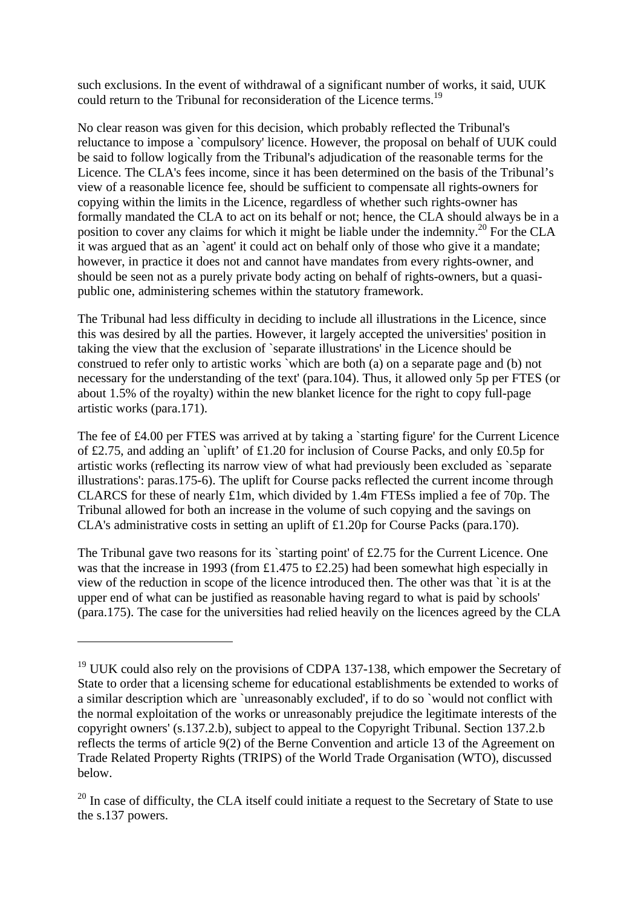such exclusions. In the event of withdrawal of a significant number of works, it said, UUK could return to the Tribunal for reconsideration of the Licence terms.<sup>19</sup>

No clear reason was given for this decision, which probably reflected the Tribunal's reluctance to impose a `compulsory' licence. However, the proposal on behalf of UUK could be said to follow logically from the Tribunal's adjudication of the reasonable terms for the Licence. The CLA's fees income, since it has been determined on the basis of the Tribunal's view of a reasonable licence fee, should be sufficient to compensate all rights-owners for copying within the limits in the Licence, regardless of whether such rights-owner has formally mandated the CLA to act on its behalf or not; hence, the CLA should always be in a position to cover any claims for which it might be liable under the indemnity.<sup>20</sup> For the CLA it was argued that as an `agent' it could act on behalf only of those who give it a mandate; however, in practice it does not and cannot have mandates from every rights-owner, and should be seen not as a purely private body acting on behalf of rights-owners, but a quasipublic one, administering schemes within the statutory framework.

The Tribunal had less difficulty in deciding to include all illustrations in the Licence, since this was desired by all the parties. However, it largely accepted the universities' position in taking the view that the exclusion of `separate illustrations' in the Licence should be construed to refer only to artistic works `which are both (a) on a separate page and (b) not necessary for the understanding of the text' (para.104). Thus, it allowed only 5p per FTES (or about 1.5% of the royalty) within the new blanket licence for the right to copy full-page artistic works (para.171).

The fee of £4.00 per FTES was arrived at by taking a `starting figure' for the Current Licence of £2.75, and adding an `uplift' of £1.20 for inclusion of Course Packs, and only £0.5p for artistic works (reflecting its narrow view of what had previously been excluded as `separate illustrations': paras.175-6). The uplift for Course packs reflected the current income through CLARCS for these of nearly £1m, which divided by 1.4m FTESs implied a fee of 70p. The Tribunal allowed for both an increase in the volume of such copying and the savings on CLA's administrative costs in setting an uplift of £1.20p for Course Packs (para.170).

The Tribunal gave two reasons for its `starting point' of £2.75 for the Current Licence. One was that the increase in 1993 (from £1.475 to £2.25) had been somewhat high especially in view of the reduction in scope of the licence introduced then. The other was that `it is at the upper end of what can be justified as reasonable having regard to what is paid by schools' (para.175). The case for the universities had relied heavily on the licences agreed by the CLA

<sup>&</sup>lt;sup>19</sup> UUK could also rely on the provisions of CDPA 137-138, which empower the Secretary of State to order that a licensing scheme for educational establishments be extended to works of a similar description which are `unreasonably excluded', if to do so `would not conflict with the normal exploitation of the works or unreasonably prejudice the legitimate interests of the copyright owners' (s.137.2.b), subject to appeal to the Copyright Tribunal. Section 137.2.b reflects the terms of article 9(2) of the Berne Convention and article 13 of the Agreement on Trade Related Property Rights (TRIPS) of the World Trade Organisation (WTO), discussed below.

 $20$  In case of difficulty, the CLA itself could initiate a request to the Secretary of State to use the s.137 powers.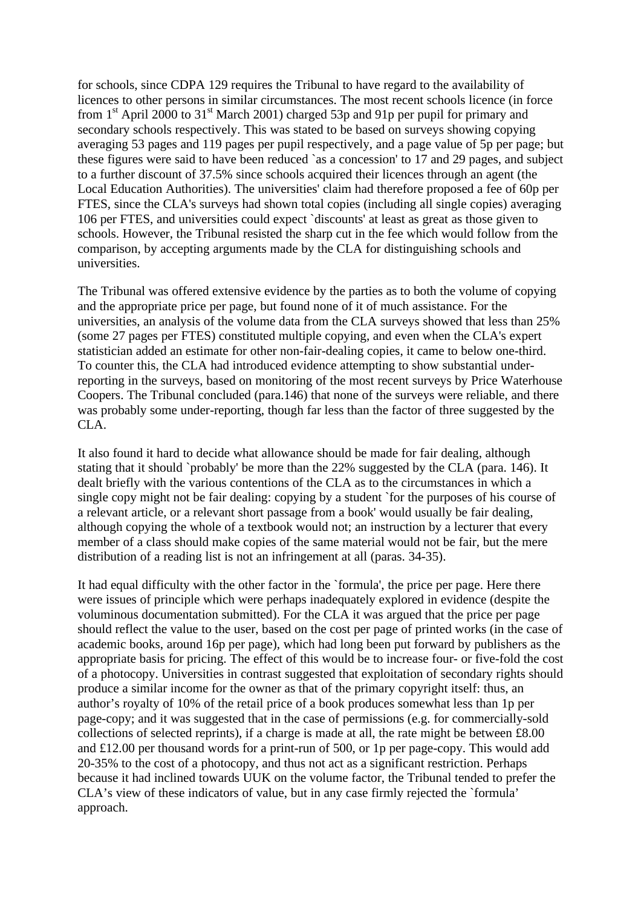for schools, since CDPA 129 requires the Tribunal to have regard to the availability of licences to other persons in similar circumstances. The most recent schools licence (in force from  $1<sup>st</sup>$  April 2000 to  $31<sup>st</sup>$  March 2001) charged 53p and 91p per pupil for primary and secondary schools respectively. This was stated to be based on surveys showing copying averaging 53 pages and 119 pages per pupil respectively, and a page value of 5p per page; but these figures were said to have been reduced `as a concession' to 17 and 29 pages, and subject to a further discount of 37.5% since schools acquired their licences through an agent (the Local Education Authorities). The universities' claim had therefore proposed a fee of 60p per FTES, since the CLA's surveys had shown total copies (including all single copies) averaging 106 per FTES, and universities could expect `discounts' at least as great as those given to schools. However, the Tribunal resisted the sharp cut in the fee which would follow from the comparison, by accepting arguments made by the CLA for distinguishing schools and universities.

The Tribunal was offered extensive evidence by the parties as to both the volume of copying and the appropriate price per page, but found none of it of much assistance. For the universities, an analysis of the volume data from the CLA surveys showed that less than 25% (some 27 pages per FTES) constituted multiple copying, and even when the CLA's expert statistician added an estimate for other non-fair-dealing copies, it came to below one-third. To counter this, the CLA had introduced evidence attempting to show substantial underreporting in the surveys, based on monitoring of the most recent surveys by Price Waterhouse Coopers. The Tribunal concluded (para.146) that none of the surveys were reliable, and there was probably some under-reporting, though far less than the factor of three suggested by the CLA.

It also found it hard to decide what allowance should be made for fair dealing, although stating that it should `probably' be more than the 22% suggested by the CLA (para, 146). It dealt briefly with the various contentions of the CLA as to the circumstances in which a single copy might not be fair dealing: copying by a student `for the purposes of his course of a relevant article, or a relevant short passage from a book' would usually be fair dealing, although copying the whole of a textbook would not; an instruction by a lecturer that every member of a class should make copies of the same material would not be fair, but the mere distribution of a reading list is not an infringement at all (paras. 34-35).

It had equal difficulty with the other factor in the `formula', the price per page. Here there were issues of principle which were perhaps inadequately explored in evidence (despite the voluminous documentation submitted). For the CLA it was argued that the price per page should reflect the value to the user, based on the cost per page of printed works (in the case of academic books, around 16p per page), which had long been put forward by publishers as the appropriate basis for pricing. The effect of this would be to increase four- or five-fold the cost of a photocopy. Universities in contrast suggested that exploitation of secondary rights should produce a similar income for the owner as that of the primary copyright itself: thus, an author's royalty of 10% of the retail price of a book produces somewhat less than 1p per page-copy; and it was suggested that in the case of permissions (e.g. for commercially-sold collections of selected reprints), if a charge is made at all, the rate might be between £8.00 and £12.00 per thousand words for a print-run of 500, or 1p per page-copy. This would add 20-35% to the cost of a photocopy, and thus not act as a significant restriction. Perhaps because it had inclined towards UUK on the volume factor, the Tribunal tended to prefer the CLA's view of these indicators of value, but in any case firmly rejected the `formula' approach.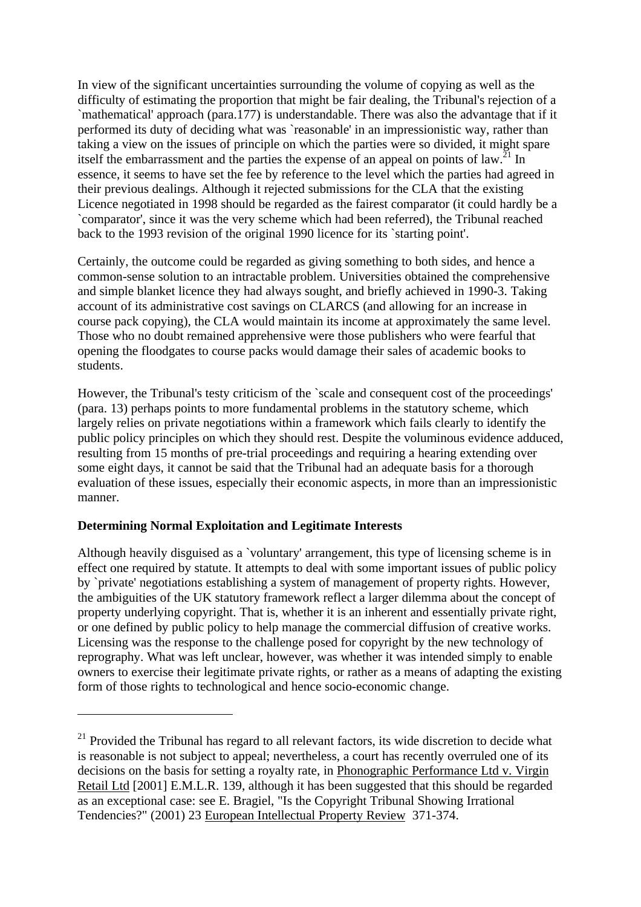In view of the significant uncertainties surrounding the volume of copying as well as the difficulty of estimating the proportion that might be fair dealing, the Tribunal's rejection of a `mathematical' approach (para.177) is understandable. There was also the advantage that if it performed its duty of deciding what was `reasonable' in an impressionistic way, rather than taking a view on the issues of principle on which the parties were so divided, it might spare itself the embarrassment and the parties the expense of an appeal on points of  $\text{law}^{21}$ . essence, it seems to have set the fee by reference to the level which the parties had agreed in their previous dealings. Although it rejected submissions for the CLA that the existing Licence negotiated in 1998 should be regarded as the fairest comparator (it could hardly be a `comparator', since it was the very scheme which had been referred), the Tribunal reached back to the 1993 revision of the original 1990 licence for its `starting point'.

Certainly, the outcome could be regarded as giving something to both sides, and hence a common-sense solution to an intractable problem. Universities obtained the comprehensive and simple blanket licence they had always sought, and briefly achieved in 1990-3. Taking account of its administrative cost savings on CLARCS (and allowing for an increase in course pack copying), the CLA would maintain its income at approximately the same level. Those who no doubt remained apprehensive were those publishers who were fearful that opening the floodgates to course packs would damage their sales of academic books to students.

However, the Tribunal's testy criticism of the `scale and consequent cost of the proceedings' (para. 13) perhaps points to more fundamental problems in the statutory scheme, which largely relies on private negotiations within a framework which fails clearly to identify the public policy principles on which they should rest. Despite the voluminous evidence adduced, resulting from 15 months of pre-trial proceedings and requiring a hearing extending over some eight days, it cannot be said that the Tribunal had an adequate basis for a thorough evaluation of these issues, especially their economic aspects, in more than an impressionistic manner.

# **Determining Normal Exploitation and Legitimate Interests**

 $\overline{a}$ 

Although heavily disguised as a `voluntary' arrangement, this type of licensing scheme is in effect one required by statute. It attempts to deal with some important issues of public policy by `private' negotiations establishing a system of management of property rights. However, the ambiguities of the UK statutory framework reflect a larger dilemma about the concept of property underlying copyright. That is, whether it is an inherent and essentially private right, or one defined by public policy to help manage the commercial diffusion of creative works. Licensing was the response to the challenge posed for copyright by the new technology of reprography. What was left unclear, however, was whether it was intended simply to enable owners to exercise their legitimate private rights, or rather as a means of adapting the existing form of those rights to technological and hence socio-economic change.

 $21$  Provided the Tribunal has regard to all relevant factors, its wide discretion to decide what is reasonable is not subject to appeal; nevertheless, a court has recently overruled one of its decisions on the basis for setting a royalty rate, in Phonographic Performance Ltd v. Virgin Retail Ltd [2001] E.M.L.R. 139, although it has been suggested that this should be regarded as an exceptional case: see E. Bragiel, "Is the Copyright Tribunal Showing Irrational Tendencies?" (2001) 23 European Intellectual Property Review 371-374.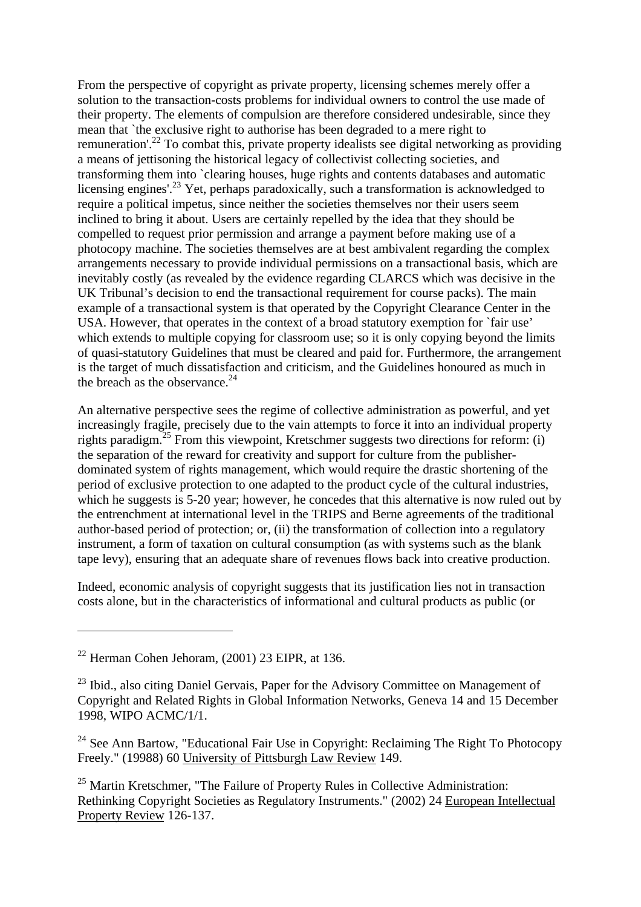From the perspective of copyright as private property, licensing schemes merely offer a solution to the transaction-costs problems for individual owners to control the use made of their property. The elements of compulsion are therefore considered undesirable, since they mean that `the exclusive right to authorise has been degraded to a mere right to remuneration'.<sup>22</sup> To combat this, private property idealists see digital networking as providing a means of jettisoning the historical legacy of collectivist collecting societies, and transforming them into `clearing houses, huge rights and contents databases and automatic licensing engines'.<sup>23</sup> Yet, perhaps paradoxically, such a transformation is acknowledged to require a political impetus, since neither the societies themselves nor their users seem inclined to bring it about. Users are certainly repelled by the idea that they should be compelled to request prior permission and arrange a payment before making use of a photocopy machine. The societies themselves are at best ambivalent regarding the complex arrangements necessary to provide individual permissions on a transactional basis, which are inevitably costly (as revealed by the evidence regarding CLARCS which was decisive in the UK Tribunal's decision to end the transactional requirement for course packs). The main example of a transactional system is that operated by the Copyright Clearance Center in the USA. However, that operates in the context of a broad statutory exemption for `fair use' which extends to multiple copying for classroom use; so it is only copying beyond the limits of quasi-statutory Guidelines that must be cleared and paid for. Furthermore, the arrangement is the target of much dissatisfaction and criticism, and the Guidelines honoured as much in the breach as the observance. $24$ 

An alternative perspective sees the regime of collective administration as powerful, and yet increasingly fragile, precisely due to the vain attempts to force it into an individual property rights paradigm.<sup>25</sup> From this viewpoint, Kretschmer suggests two directions for reform: (i) the separation of the reward for creativity and support for culture from the publisherdominated system of rights management, which would require the drastic shortening of the period of exclusive protection to one adapted to the product cycle of the cultural industries, which he suggests is 5-20 year; however, he concedes that this alternative is now ruled out by the entrenchment at international level in the TRIPS and Berne agreements of the traditional author-based period of protection; or, (ii) the transformation of collection into a regulatory instrument, a form of taxation on cultural consumption (as with systems such as the blank tape levy), ensuring that an adequate share of revenues flows back into creative production.

Indeed, economic analysis of copyright suggests that its justification lies not in transaction costs alone, but in the characteristics of informational and cultural products as public (or

 $22$  Herman Cohen Jehoram, (2001) 23 EIPR, at 136.

<sup>&</sup>lt;sup>23</sup> Ibid., also citing Daniel Gervais, Paper for the Advisory Committee on Management of Copyright and Related Rights in Global Information Networks, Geneva 14 and 15 December 1998, WIPO ACMC/1/1.

<sup>&</sup>lt;sup>24</sup> See Ann Bartow, "Educational Fair Use in Copyright: Reclaiming The Right To Photocopy Freely." (19988) 60 University of Pittsburgh Law Review 149.

 $25$  Martin Kretschmer, "The Failure of Property Rules in Collective Administration: Rethinking Copyright Societies as Regulatory Instruments." (2002) 24 European Intellectual Property Review 126-137.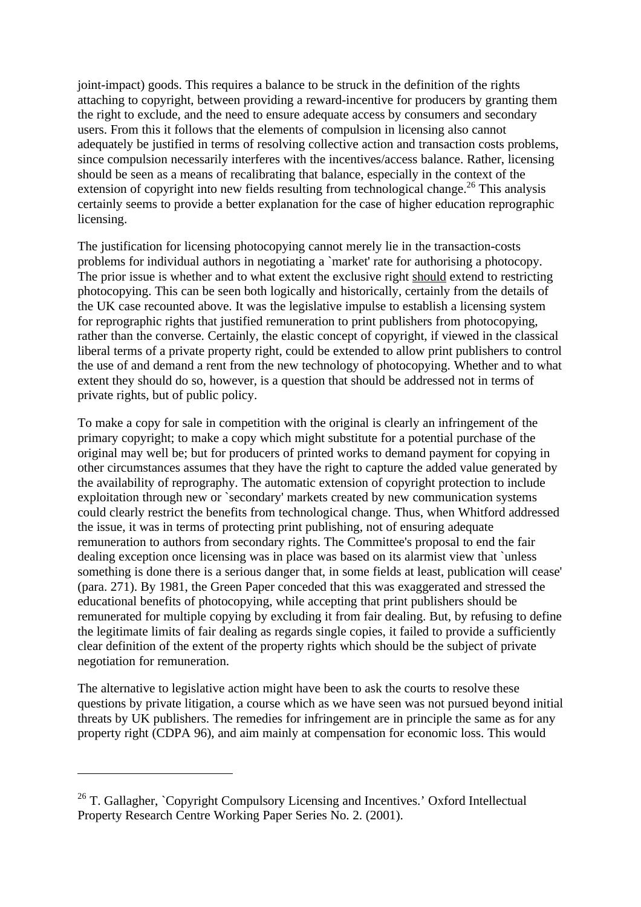joint-impact) goods. This requires a balance to be struck in the definition of the rights attaching to copyright, between providing a reward-incentive for producers by granting them the right to exclude, and the need to ensure adequate access by consumers and secondary users. From this it follows that the elements of compulsion in licensing also cannot adequately be justified in terms of resolving collective action and transaction costs problems, since compulsion necessarily interferes with the incentives/access balance. Rather, licensing should be seen as a means of recalibrating that balance, especially in the context of the extension of copyright into new fields resulting from technological change.<sup>26</sup> This analysis certainly seems to provide a better explanation for the case of higher education reprographic licensing.

The justification for licensing photocopying cannot merely lie in the transaction-costs problems for individual authors in negotiating a `market' rate for authorising a photocopy. The prior issue is whether and to what extent the exclusive right should extend to restricting photocopying. This can be seen both logically and historically, certainly from the details of the UK case recounted above. It was the legislative impulse to establish a licensing system for reprographic rights that justified remuneration to print publishers from photocopying, rather than the converse. Certainly, the elastic concept of copyright, if viewed in the classical liberal terms of a private property right, could be extended to allow print publishers to control the use of and demand a rent from the new technology of photocopying. Whether and to what extent they should do so, however, is a question that should be addressed not in terms of private rights, but of public policy.

To make a copy for sale in competition with the original is clearly an infringement of the primary copyright; to make a copy which might substitute for a potential purchase of the original may well be; but for producers of printed works to demand payment for copying in other circumstances assumes that they have the right to capture the added value generated by the availability of reprography. The automatic extension of copyright protection to include exploitation through new or `secondary' markets created by new communication systems could clearly restrict the benefits from technological change. Thus, when Whitford addressed the issue, it was in terms of protecting print publishing, not of ensuring adequate remuneration to authors from secondary rights. The Committee's proposal to end the fair dealing exception once licensing was in place was based on its alarmist view that `unless something is done there is a serious danger that, in some fields at least, publication will cease' (para. 271). By 1981, the Green Paper conceded that this was exaggerated and stressed the educational benefits of photocopying, while accepting that print publishers should be remunerated for multiple copying by excluding it from fair dealing. But, by refusing to define the legitimate limits of fair dealing as regards single copies, it failed to provide a sufficiently clear definition of the extent of the property rights which should be the subject of private negotiation for remuneration.

The alternative to legislative action might have been to ask the courts to resolve these questions by private litigation, a course which as we have seen was not pursued beyond initial threats by UK publishers. The remedies for infringement are in principle the same as for any property right (CDPA 96), and aim mainly at compensation for economic loss. This would

<sup>&</sup>lt;sup>26</sup> T. Gallagher, `Copyright Compulsory Licensing and Incentives.' Oxford Intellectual Property Research Centre Working Paper Series No. 2. (2001).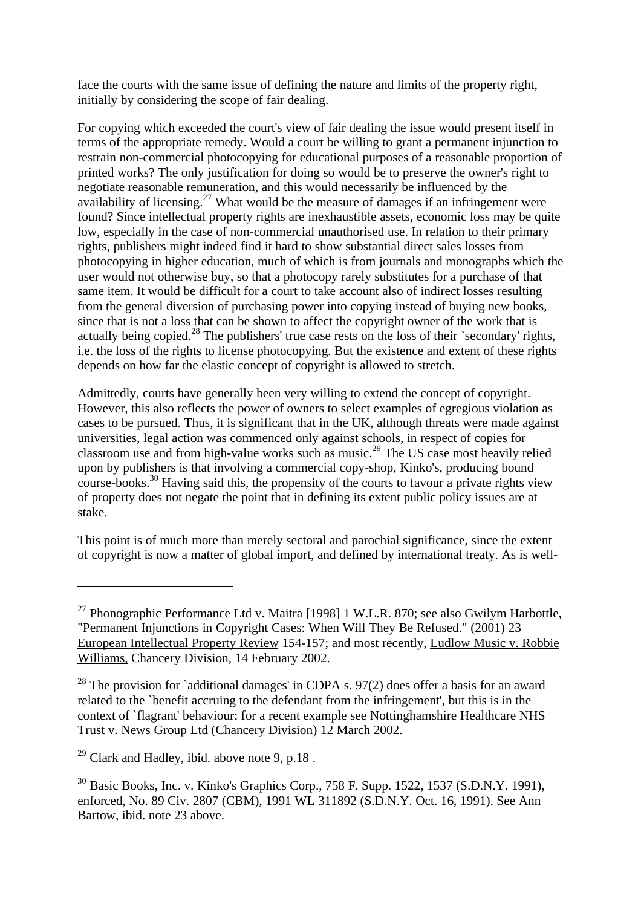face the courts with the same issue of defining the nature and limits of the property right, initially by considering the scope of fair dealing.

For copying which exceeded the court's view of fair dealing the issue would present itself in terms of the appropriate remedy. Would a court be willing to grant a permanent injunction to restrain non-commercial photocopying for educational purposes of a reasonable proportion of printed works? The only justification for doing so would be to preserve the owner's right to negotiate reasonable remuneration, and this would necessarily be influenced by the availability of licensing.<sup>27</sup> What would be the measure of damages if an infringement were found? Since intellectual property rights are inexhaustible assets, economic loss may be quite low, especially in the case of non-commercial unauthorised use. In relation to their primary rights, publishers might indeed find it hard to show substantial direct sales losses from photocopying in higher education, much of which is from journals and monographs which the user would not otherwise buy, so that a photocopy rarely substitutes for a purchase of that same item. It would be difficult for a court to take account also of indirect losses resulting from the general diversion of purchasing power into copying instead of buying new books, since that is not a loss that can be shown to affect the copyright owner of the work that is actually being copied.<sup>28</sup> The publishers' true case rests on the loss of their `secondary' rights, i.e. the loss of the rights to license photocopying. But the existence and extent of these rights depends on how far the elastic concept of copyright is allowed to stretch.

Admittedly, courts have generally been very willing to extend the concept of copyright. However, this also reflects the power of owners to select examples of egregious violation as cases to be pursued. Thus, it is significant that in the UK, although threats were made against universities, legal action was commenced only against schools, in respect of copies for classroom use and from high-value works such as music.<sup>29</sup> The US case most heavily relied upon by publishers is that involving a commercial copy-shop, Kinko's, producing bound course-books.<sup>30</sup> Having said this, the propensity of the courts to favour a private rights view of property does not negate the point that in defining its extent public policy issues are at stake.

This point is of much more than merely sectoral and parochial significance, since the extent of copyright is now a matter of global import, and defined by international treaty. As is well-

<sup>&</sup>lt;sup>27</sup> Phonographic Performance Ltd v. Maitra [1998] 1 W.L.R. 870; see also Gwilym Harbottle, "Permanent Injunctions in Copyright Cases: When Will They Be Refused." (2001) 23 European Intellectual Property Review 154-157; and most recently, Ludlow Music v. Robbie Williams, Chancery Division, 14 February 2002.

<sup>&</sup>lt;sup>28</sup> The provision for `additional damages' in CDPA s. 97(2) does offer a basis for an award related to the `benefit accruing to the defendant from the infringement', but this is in the context of `flagrant' behaviour: for a recent example see Nottinghamshire Healthcare NHS Trust v. News Group Ltd (Chancery Division) 12 March 2002.

 $29$  Clark and Hadley, ibid. above note 9, p.18.

 $30$  Basic Books, Inc. v. Kinko's Graphics Corp., 758 F. Supp. 1522, 1537 (S.D.N.Y. 1991). enforced, No. 89 Civ. 2807 (CBM), 1991 WL 311892 (S.D.N.Y. Oct. 16, 1991). See Ann Bartow, ibid. note 23 above.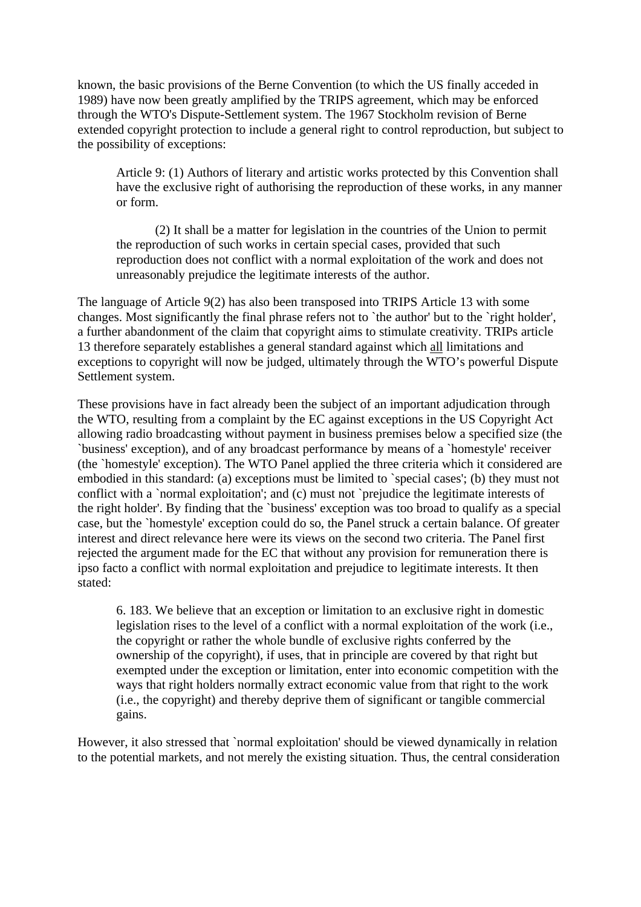known, the basic provisions of the Berne Convention (to which the US finally acceded in 1989) have now been greatly amplified by the TRIPS agreement, which may be enforced through the WTO's Dispute-Settlement system. The 1967 Stockholm revision of Berne extended copyright protection to include a general right to control reproduction, but subject to the possibility of exceptions:

Article 9: (1) Authors of literary and artistic works protected by this Convention shall have the exclusive right of authorising the reproduction of these works, in any manner or form.

(2) It shall be a matter for legislation in the countries of the Union to permit the reproduction of such works in certain special cases, provided that such reproduction does not conflict with a normal exploitation of the work and does not unreasonably prejudice the legitimate interests of the author.

The language of Article 9(2) has also been transposed into TRIPS Article 13 with some changes. Most significantly the final phrase refers not to `the author' but to the `right holder', a further abandonment of the claim that copyright aims to stimulate creativity. TRIPs article 13 therefore separately establishes a general standard against which all limitations and exceptions to copyright will now be judged, ultimately through the WTO's powerful Dispute Settlement system.

These provisions have in fact already been the subject of an important adjudication through the WTO, resulting from a complaint by the EC against exceptions in the US Copyright Act allowing radio broadcasting without payment in business premises below a specified size (the `business' exception), and of any broadcast performance by means of a `homestyle' receiver (the `homestyle' exception). The WTO Panel applied the three criteria which it considered are embodied in this standard: (a) exceptions must be limited to `special cases'; (b) they must not conflict with a `normal exploitation'; and (c) must not `prejudice the legitimate interests of the right holder'. By finding that the `business' exception was too broad to qualify as a special case, but the `homestyle' exception could do so, the Panel struck a certain balance. Of greater interest and direct relevance here were its views on the second two criteria. The Panel first rejected the argument made for the EC that without any provision for remuneration there is ipso facto a conflict with normal exploitation and prejudice to legitimate interests. It then stated:

6. 183. We believe that an exception or limitation to an exclusive right in domestic legislation rises to the level of a conflict with a normal exploitation of the work (i.e., the copyright or rather the whole bundle of exclusive rights conferred by the ownership of the copyright), if uses, that in principle are covered by that right but exempted under the exception or limitation, enter into economic competition with the ways that right holders normally extract economic value from that right to the work (i.e., the copyright) and thereby deprive them of significant or tangible commercial gains.

However, it also stressed that `normal exploitation' should be viewed dynamically in relation to the potential markets, and not merely the existing situation. Thus, the central consideration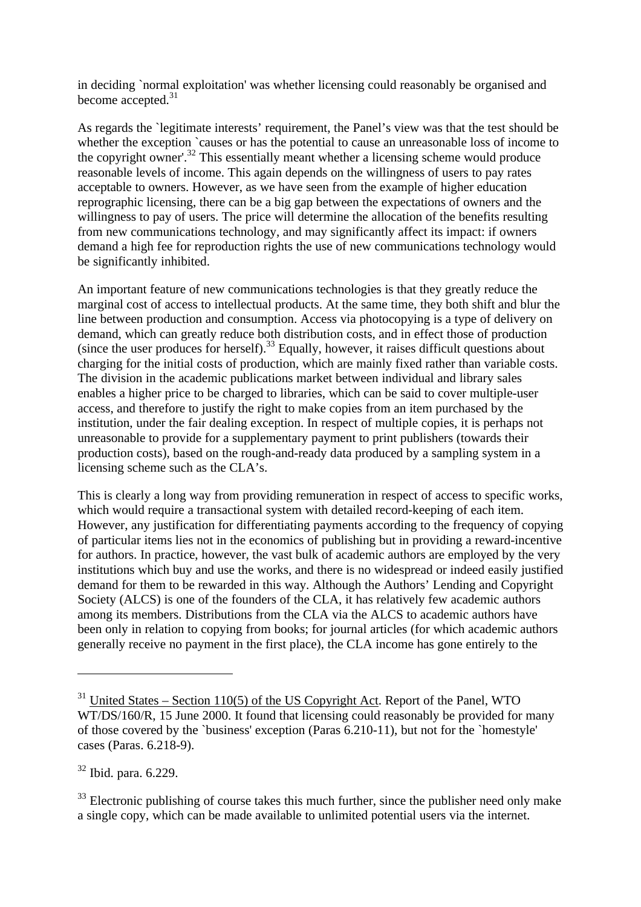in deciding `normal exploitation' was whether licensing could reasonably be organised and become accepted.<sup>31</sup>

As regards the `legitimate interests' requirement, the Panel's view was that the test should be whether the exception `causes or has the potential to cause an unreasonable loss of income to the copyright owner'.<sup>32</sup> This essentially meant whether a licensing scheme would produce reasonable levels of income. This again depends on the willingness of users to pay rates acceptable to owners. However, as we have seen from the example of higher education reprographic licensing, there can be a big gap between the expectations of owners and the willingness to pay of users. The price will determine the allocation of the benefits resulting from new communications technology, and may significantly affect its impact: if owners demand a high fee for reproduction rights the use of new communications technology would be significantly inhibited.

An important feature of new communications technologies is that they greatly reduce the marginal cost of access to intellectual products. At the same time, they both shift and blur the line between production and consumption. Access via photocopying is a type of delivery on demand, which can greatly reduce both distribution costs, and in effect those of production (since the user produces for herself).<sup>33</sup> Equally, however, it raises difficult questions about charging for the initial costs of production, which are mainly fixed rather than variable costs. The division in the academic publications market between individual and library sales enables a higher price to be charged to libraries, which can be said to cover multiple-user access, and therefore to justify the right to make copies from an item purchased by the institution, under the fair dealing exception. In respect of multiple copies, it is perhaps not unreasonable to provide for a supplementary payment to print publishers (towards their production costs), based on the rough-and-ready data produced by a sampling system in a licensing scheme such as the CLA's.

This is clearly a long way from providing remuneration in respect of access to specific works, which would require a transactional system with detailed record-keeping of each item. However, any justification for differentiating payments according to the frequency of copying of particular items lies not in the economics of publishing but in providing a reward-incentive for authors. In practice, however, the vast bulk of academic authors are employed by the very institutions which buy and use the works, and there is no widespread or indeed easily justified demand for them to be rewarded in this way. Although the Authors' Lending and Copyright Society (ALCS) is one of the founders of the CLA, it has relatively few academic authors among its members. Distributions from the CLA via the ALCS to academic authors have been only in relation to copying from books; for journal articles (for which academic authors generally receive no payment in the first place), the CLA income has gone entirely to the

<sup>32</sup> Ibid. para. 6.229.

 $31$  United States – Section 110(5) of the US Copyright Act. Report of the Panel, WTO WT/DS/160/R, 15 June 2000. It found that licensing could reasonably be provided for many of those covered by the `business' exception (Paras 6.210-11), but not for the `homestyle' cases (Paras. 6.218-9).

 $33$  Electronic publishing of course takes this much further, since the publisher need only make a single copy, which can be made available to unlimited potential users via the internet.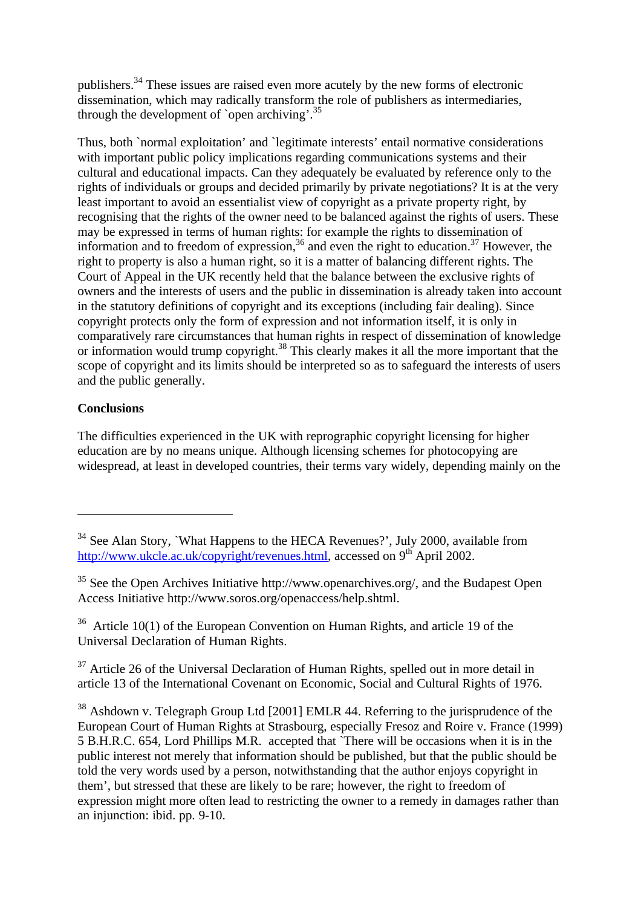publishers.<sup>34</sup> These issues are raised even more acutely by the new forms of electronic dissemination, which may radically transform the role of publishers as intermediaries, through the development of `open archiving'.<sup>35</sup>

Thus, both `normal exploitation' and `legitimate interests' entail normative considerations with important public policy implications regarding communications systems and their cultural and educational impacts. Can they adequately be evaluated by reference only to the rights of individuals or groups and decided primarily by private negotiations? It is at the very least important to avoid an essentialist view of copyright as a private property right, by recognising that the rights of the owner need to be balanced against the rights of users. These may be expressed in terms of human rights: for example the rights to dissemination of information and to freedom of expression,  $36$  and even the right to education.<sup>37</sup> However, the right to property is also a human right, so it is a matter of balancing different rights. The Court of Appeal in the UK recently held that the balance between the exclusive rights of owners and the interests of users and the public in dissemination is already taken into account in the statutory definitions of copyright and its exceptions (including fair dealing). Since copyright protects only the form of expression and not information itself, it is only in comparatively rare circumstances that human rights in respect of dissemination of knowledge or information would trump copyright.<sup>38</sup> This clearly makes it all the more important that the scope of copyright and its limits should be interpreted so as to safeguard the interests of users and the public generally.

# **Conclusions**

 $\overline{a}$ 

The difficulties experienced in the UK with reprographic copyright licensing for higher education are by no means unique. Although licensing schemes for photocopying are widespread, at least in developed countries, their terms vary widely, depending mainly on the

 $36$  Article 10(1) of the European Convention on Human Rights, and article 19 of the Universal Declaration of Human Rights.

 $37$  Article 26 of the Universal Declaration of Human Rights, spelled out in more detail in article 13 of the International Covenant on Economic, Social and Cultural Rights of 1976.

<sup>38</sup> Ashdown v. Telegraph Group Ltd [2001] EMLR 44. Referring to the jurisprudence of the European Court of Human Rights at Strasbourg, especially Fresoz and Roire v. France (1999) 5 B.H.R.C. 654, Lord Phillips M.R. accepted that `There will be occasions when it is in the public interest not merely that information should be published, but that the public should be told the very words used by a person, notwithstanding that the author enjoys copyright in them', but stressed that these are likely to be rare; however, the right to freedom of expression might more often lead to restricting the owner to a remedy in damages rather than an injunction: ibid. pp. 9-10.

<sup>&</sup>lt;sup>34</sup> See Alan Story, `What Happens to the HECA Revenues?', July 2000, available from http://www.ukcle.ac.uk/copyright/revenues.html, accessed on 9<sup>th</sup> April 2002.

<sup>&</sup>lt;sup>35</sup> See the Open Archives Initiative http://www.openarchives.org/, and the Budapest Open Access Initiative http://www.soros.org/openaccess/help.shtml.